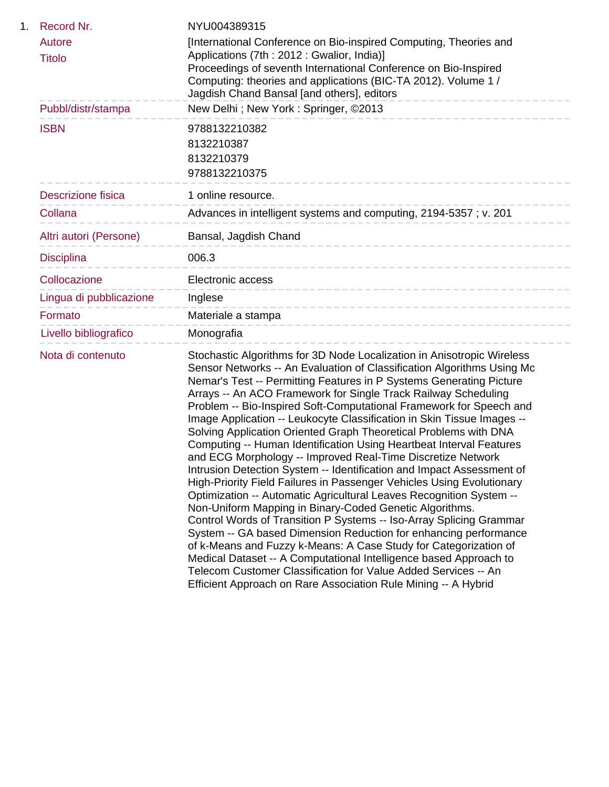| 1. | Record Nr.                | NYU004389315                                                                                                                                                                                                                                                                                                                                                                                                                                                                                                                                                                                                                                                                                                                                                                                                                                                                                                                                                                                                                                                                                                                                                                                                                                                                                                                                                     |
|----|---------------------------|------------------------------------------------------------------------------------------------------------------------------------------------------------------------------------------------------------------------------------------------------------------------------------------------------------------------------------------------------------------------------------------------------------------------------------------------------------------------------------------------------------------------------------------------------------------------------------------------------------------------------------------------------------------------------------------------------------------------------------------------------------------------------------------------------------------------------------------------------------------------------------------------------------------------------------------------------------------------------------------------------------------------------------------------------------------------------------------------------------------------------------------------------------------------------------------------------------------------------------------------------------------------------------------------------------------------------------------------------------------|
|    | Autore<br><b>Titolo</b>   | [International Conference on Bio-inspired Computing, Theories and<br>Applications (7th : 2012 : Gwalior, India)]                                                                                                                                                                                                                                                                                                                                                                                                                                                                                                                                                                                                                                                                                                                                                                                                                                                                                                                                                                                                                                                                                                                                                                                                                                                 |
|    |                           | Proceedings of seventh International Conference on Bio-Inspired<br>Computing: theories and applications (BIC-TA 2012). Volume 1 /<br>Jagdish Chand Bansal [and others], editors                                                                                                                                                                                                                                                                                                                                                                                                                                                                                                                                                                                                                                                                                                                                                                                                                                                                                                                                                                                                                                                                                                                                                                                  |
|    | Pubbl/distr/stampa        | New Delhi; New York: Springer, ©2013                                                                                                                                                                                                                                                                                                                                                                                                                                                                                                                                                                                                                                                                                                                                                                                                                                                                                                                                                                                                                                                                                                                                                                                                                                                                                                                             |
|    | <b>ISBN</b>               | 9788132210382<br>8132210387<br>8132210379<br>9788132210375                                                                                                                                                                                                                                                                                                                                                                                                                                                                                                                                                                                                                                                                                                                                                                                                                                                                                                                                                                                                                                                                                                                                                                                                                                                                                                       |
|    | <b>Descrizione fisica</b> | 1 online resource.                                                                                                                                                                                                                                                                                                                                                                                                                                                                                                                                                                                                                                                                                                                                                                                                                                                                                                                                                                                                                                                                                                                                                                                                                                                                                                                                               |
|    | Collana                   | Advances in intelligent systems and computing, 2194-5357; v. 201                                                                                                                                                                                                                                                                                                                                                                                                                                                                                                                                                                                                                                                                                                                                                                                                                                                                                                                                                                                                                                                                                                                                                                                                                                                                                                 |
|    | Altri autori (Persone)    | Bansal, Jagdish Chand                                                                                                                                                                                                                                                                                                                                                                                                                                                                                                                                                                                                                                                                                                                                                                                                                                                                                                                                                                                                                                                                                                                                                                                                                                                                                                                                            |
|    | <b>Disciplina</b>         | 006.3<br>______________________                                                                                                                                                                                                                                                                                                                                                                                                                                                                                                                                                                                                                                                                                                                                                                                                                                                                                                                                                                                                                                                                                                                                                                                                                                                                                                                                  |
|    | Collocazione              | Electronic access<br>___________________________                                                                                                                                                                                                                                                                                                                                                                                                                                                                                                                                                                                                                                                                                                                                                                                                                                                                                                                                                                                                                                                                                                                                                                                                                                                                                                                 |
|    | Lingua di pubblicazione   | Inglese<br>-----------------------------                                                                                                                                                                                                                                                                                                                                                                                                                                                                                                                                                                                                                                                                                                                                                                                                                                                                                                                                                                                                                                                                                                                                                                                                                                                                                                                         |
|    | Formato                   | Materiale a stampa<br>---------------                                                                                                                                                                                                                                                                                                                                                                                                                                                                                                                                                                                                                                                                                                                                                                                                                                                                                                                                                                                                                                                                                                                                                                                                                                                                                                                            |
|    | Livello bibliografico     | Monografia                                                                                                                                                                                                                                                                                                                                                                                                                                                                                                                                                                                                                                                                                                                                                                                                                                                                                                                                                                                                                                                                                                                                                                                                                                                                                                                                                       |
|    | Nota di contenuto         | Stochastic Algorithms for 3D Node Localization in Anisotropic Wireless<br>Sensor Networks -- An Evaluation of Classification Algorithms Using Mc<br>Nemar's Test -- Permitting Features in P Systems Generating Picture<br>Arrays -- An ACO Framework for Single Track Railway Scheduling<br>Problem -- Bio-Inspired Soft-Computational Framework for Speech and<br>Image Application -- Leukocyte Classification in Skin Tissue Images --<br>Solving Application Oriented Graph Theoretical Problems with DNA<br>Computing -- Human Identification Using Heartbeat Interval Features<br>and ECG Morphology -- Improved Real-Time Discretize Network<br>Intrusion Detection System -- Identification and Impact Assessment of<br>High-Priority Field Failures in Passenger Vehicles Using Evolutionary<br>Optimization -- Automatic Agricultural Leaves Recognition System --<br>Non-Uniform Mapping in Binary-Coded Genetic Algorithms.<br>Control Words of Transition P Systems -- Iso-Array Splicing Grammar<br>System -- GA based Dimension Reduction for enhancing performance<br>of k-Means and Fuzzy k-Means: A Case Study for Categorization of<br>Medical Dataset -- A Computational Intelligence based Approach to<br>Telecom Customer Classification for Value Added Services -- An<br>Efficient Approach on Rare Association Rule Mining -- A Hybrid |